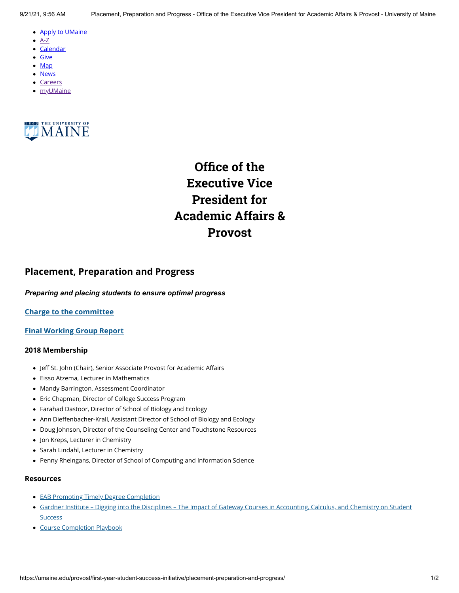- <u>[Apply to UMaine](https://go.umaine.edu/apply/)</u>
- $\bullet$  [A-Z](https://umaine.edu/directory/)
- <u>[Calendar](https://calendar.umaine.edu/)</u>
- <u>[Give](https://securelb.imodules.com/s/300/13-ORONO/foundation/index.aspx?sid=300&gid=13&pgid=748&cid=1912)</u>
- <u>[Map](https://umaine.edu/campus-map)</u>
- <u>[News](https://umaine.edu/news/)</u>
- [Careers](https://umaine.edu/hr/career-opportunities/)
- <u>[myUMaine](https://my.umaine.edu/)</u>



# **Office of the Executive Vice President for Academic Affairs & Provost**

# **Placement, Preparation and Progress**

### *Preparing and placing students to ensure optimal progress*

# **[Charge to the committee](https://umaine.edu/provost/blog/resource/placement-preparation-and-progress-charge/)**

# **[Final Working Group Report](https://umaine.edu/provost/blog/resource/placement-preparation-and-progress-working-group-final-report/)**

#### **2018 Membership**

- Jeff St. John (Chair), Senior Associate Provost for Academic Affairs •
- Eisso Atzema, Lecturer in Mathematics
- Mandy Barrington, Assessment Coordinator
- Eric Chapman, Director of College Success Program •
- Farahad Dastoor, Director of School of Biology and Ecology •
- Ann Dieffenbacher-Krall, Assistant Director of School of Biology and Ecology •
- Doug Johnson, Director of the Counseling Center and Touchstone Resources •
- Jon Kreps, Lecturer in Chemistry •
- Sarah Lindahl, Lecturer in Chemistry
- Penny Rheingans, Director of School of Computing and Information Science •

### **Resources**

- [EAB Promoting Timely Degree Completion](https://umaine.edu/provost/blog/resource/eab-promoting-timely-degree-completion/)
- Gardner Institute Digging into the Disciplines The Impact of Gateway Courses in Accounting, Calculus, and Chemistry on Student Success
- [Course Completion Playbook](https://umaine.edu/provost/blog/resource/course-completion-playbook/)